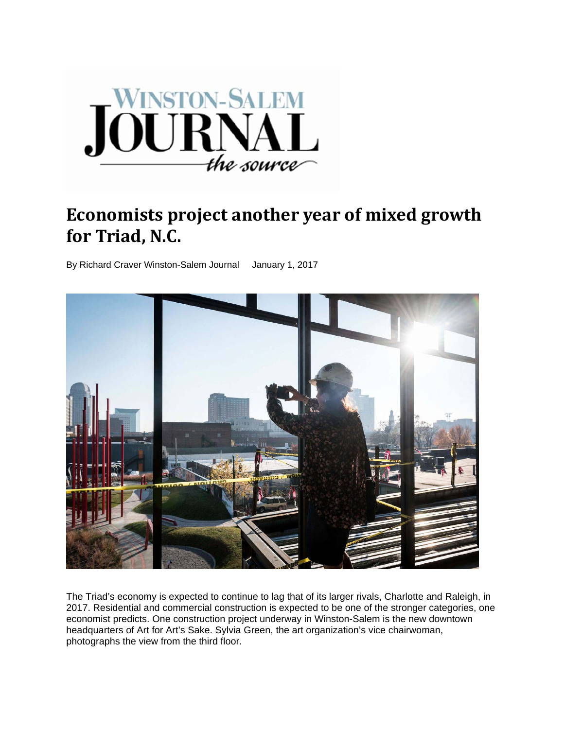

# **Economists project another year of mixed growth for Triad**, **N.C.**

By Richard Craver Winston-Salem Journal January 1, 2017



The Triad's economy is expected to continue to lag that of its larger rivals, Charlotte and Raleigh, in 2017. Residential and commercial construction is expected to be one of the stronger categories, one economist predicts. One construction project underway in Winston-Salem is the new downtown headquarters of Art for Art's Sake. Sylvia Green, the art organization's vice chairwoman, photographs the view from the third floor.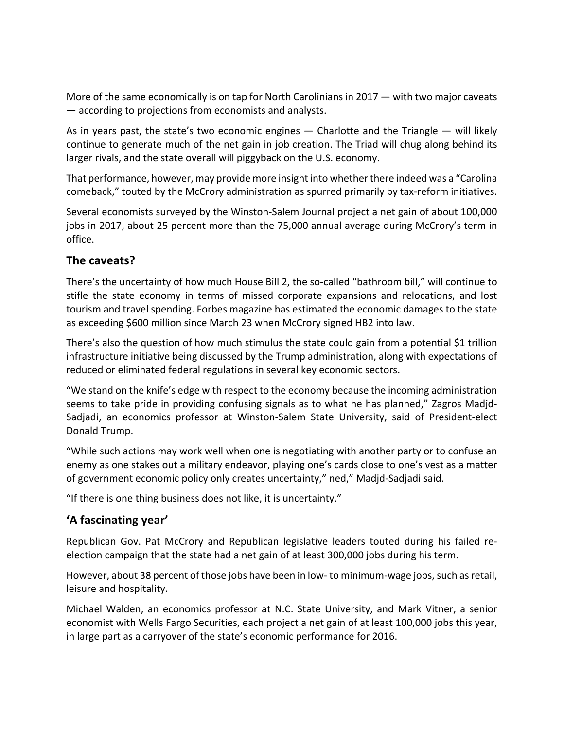More of the same economically is on tap for North Carolinians in 2017 — with two major caveats — according to projections from economists and analysts.

As in years past, the state's two economic engines  $-$  Charlotte and the Triangle  $-$  will likely continue to generate much of the net gain in job creation. The Triad will chug along behind its larger rivals, and the state overall will piggyback on the U.S. economy.

That performance, however, may provide more insight into whether there indeed was a "Carolina comeback," touted by the McCrory administration as spurred primarily by tax-reform initiatives.

Several economists surveyed by the Winston‐Salem Journal project a net gain of about 100,000 jobs in 2017, about 25 percent more than the 75,000 annual average during McCrory's term in office.

### **The caveats?**

There's the uncertainty of how much House Bill 2, the so-called "bathroom bill," will continue to stifle the state economy in terms of missed corporate expansions and relocations, and lost tourism and travel spending. Forbes magazine has estimated the economic damages to the state as exceeding \$600 million since March 23 when McCrory signed HB2 into law.

There's also the question of how much stimulus the state could gain from a potential \$1 trillion infrastructure initiative being discussed by the Trump administration, along with expectations of reduced or eliminated federal regulations in several key economic sectors.

"We stand on the knife's edge with respect to the economy because the incoming administration seems to take pride in providing confusing signals as to what he has planned," Zagros Madjd‐ Sadjadi, an economics professor at Winston‐Salem State University, said of President‐elect Donald Trump.

"While such actions may work well when one is negotiating with another party or to confuse an enemy as one stakes out a military endeavor, playing one's cards close to one's vest as a matter of government economic policy only creates uncertainty," ned," Madjd‐Sadjadi said.

"If there is one thing business does not like, it is uncertainty."

## **'A fascinating year'**

Republican Gov. Pat McCrory and Republican legislative leaders touted during his failed re‐ election campaign that the state had a net gain of at least 300,000 jobs during his term.

However, about 38 percent of those jobs have been in low- to minimum-wage jobs, such as retail, leisure and hospitality.

Michael Walden, an economics professor at N.C. State University, and Mark Vitner, a senior economist with Wells Fargo Securities, each project a net gain of at least 100,000 jobs this year, in large part as a carryover of the state's economic performance for 2016.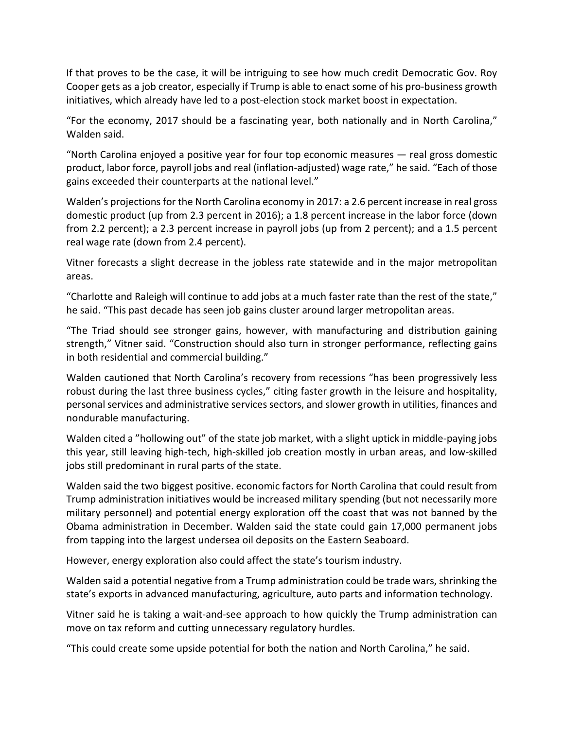If that proves to be the case, it will be intriguing to see how much credit Democratic Gov. Roy Cooper gets as a job creator, especially if Trump is able to enact some of his pro‐business growth initiatives, which already have led to a post‐election stock market boost in expectation.

"For the economy, 2017 should be a fascinating year, both nationally and in North Carolina," Walden said.

"North Carolina enjoyed a positive year for four top economic measures — real gross domestic product, labor force, payroll jobs and real (inflation‐adjusted) wage rate," he said. "Each of those gains exceeded their counterparts at the national level."

Walden's projections for the North Carolina economy in 2017: a 2.6 percent increase in real gross domestic product (up from 2.3 percent in 2016); a 1.8 percent increase in the labor force (down from 2.2 percent); a 2.3 percent increase in payroll jobs (up from 2 percent); and a 1.5 percent real wage rate (down from 2.4 percent).

Vitner forecasts a slight decrease in the jobless rate statewide and in the major metropolitan areas.

"Charlotte and Raleigh will continue to add jobs at a much faster rate than the rest of the state," he said. "This past decade has seen job gains cluster around larger metropolitan areas.

"The Triad should see stronger gains, however, with manufacturing and distribution gaining strength," Vitner said. "Construction should also turn in stronger performance, reflecting gains in both residential and commercial building."

Walden cautioned that North Carolina's recovery from recessions "has been progressively less robust during the last three business cycles," citing faster growth in the leisure and hospitality, personal services and administrative services sectors, and slower growth in utilities, finances and nondurable manufacturing.

Walden cited a "hollowing out" of the state job market, with a slight uptick in middle-paying jobs this year, still leaving high‐tech, high‐skilled job creation mostly in urban areas, and low‐skilled jobs still predominant in rural parts of the state.

Walden said the two biggest positive. economic factors for North Carolina that could result from Trump administration initiatives would be increased military spending (but not necessarily more military personnel) and potential energy exploration off the coast that was not banned by the Obama administration in December. Walden said the state could gain 17,000 permanent jobs from tapping into the largest undersea oil deposits on the Eastern Seaboard.

However, energy exploration also could affect the state's tourism industry.

Walden said a potential negative from a Trump administration could be trade wars, shrinking the state's exports in advanced manufacturing, agriculture, auto parts and information technology.

Vitner said he is taking a wait‐and‐see approach to how quickly the Trump administration can move on tax reform and cutting unnecessary regulatory hurdles.

"This could create some upside potential for both the nation and North Carolina," he said.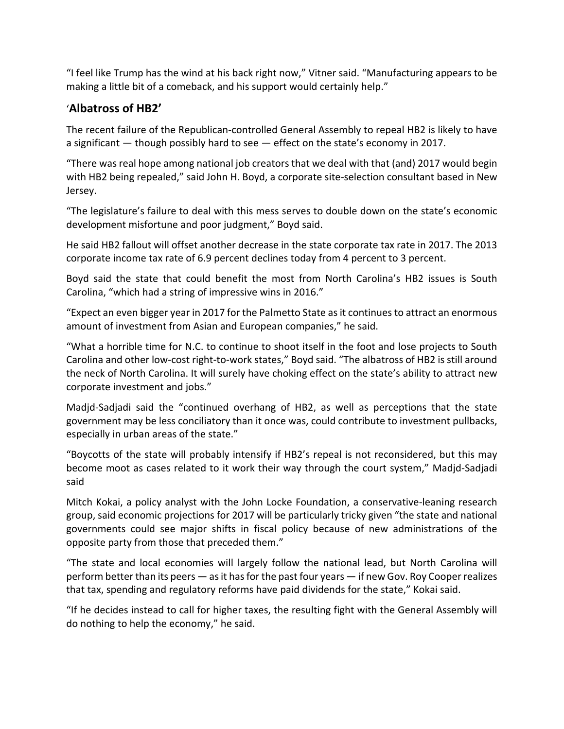"I feel like Trump has the wind at his back right now," Vitner said. "Manufacturing appears to be making a little bit of a comeback, and his support would certainly help."

## '**Albatross of HB2'**

The recent failure of the Republican-controlled General Assembly to repeal HB2 is likely to have a significant — though possibly hard to see — effect on the state's economy in 2017.

"There was real hope among national job creatorsthat we deal with that (and) 2017 would begin with HB2 being repealed," said John H. Boyd, a corporate site-selection consultant based in New Jersey.

"The legislature's failure to deal with this mess serves to double down on the state's economic development misfortune and poor judgment," Boyd said.

He said HB2 fallout will offset another decrease in the state corporate tax rate in 2017. The 2013 corporate income tax rate of 6.9 percent declines today from 4 percent to 3 percent.

Boyd said the state that could benefit the most from North Carolina's HB2 issues is South Carolina, "which had a string of impressive wins in 2016."

"Expect an even bigger year in 2017 for the Palmetto State as it continues to attract an enormous amount of investment from Asian and European companies," he said.

"What a horrible time for N.C. to continue to shoot itself in the foot and lose projects to South Carolina and other low‐cost right‐to‐work states," Boyd said. "The albatross of HB2 is still around the neck of North Carolina. It will surely have choking effect on the state's ability to attract new corporate investment and jobs."

Madjd‐Sadjadi said the "continued overhang of HB2, as well as perceptions that the state government may be less conciliatory than it once was, could contribute to investment pullbacks, especially in urban areas of the state."

"Boycotts of the state will probably intensify if HB2's repeal is not reconsidered, but this may become moot as cases related to it work their way through the court system," Madjd‐Sadjadi said

Mitch Kokai, a policy analyst with the John Locke Foundation, a conservative‐leaning research group, said economic projections for 2017 will be particularly tricky given "the state and national governments could see major shifts in fiscal policy because of new administrations of the opposite party from those that preceded them."

"The state and local economies will largely follow the national lead, but North Carolina will perform better than its peers  $-$  as it has for the past four years  $-$  if new Gov. Roy Cooper realizes that tax, spending and regulatory reforms have paid dividends for the state," Kokai said.

"If he decides instead to call for higher taxes, the resulting fight with the General Assembly will do nothing to help the economy," he said.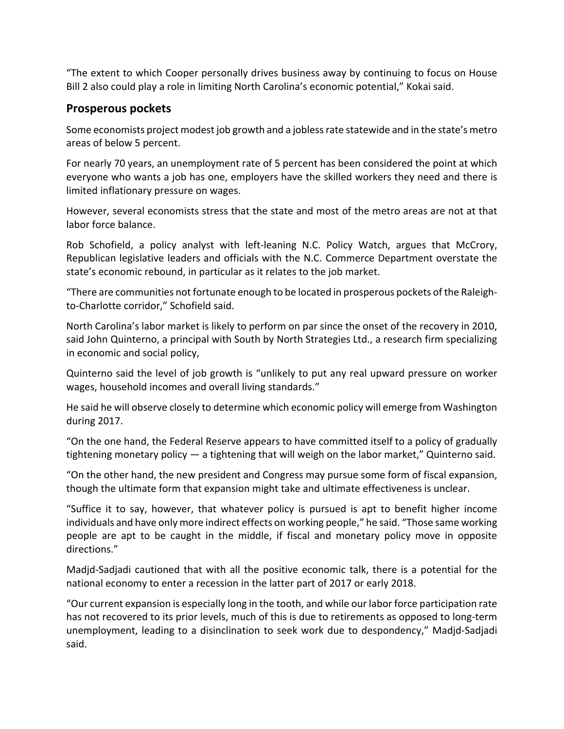"The extent to which Cooper personally drives business away by continuing to focus on House Bill 2 also could play a role in limiting North Carolina's economic potential," Kokai said.

### **Prosperous pockets**

Some economists project modest job growth and a joblessrate statewide and in the state's metro areas of below 5 percent.

For nearly 70 years, an unemployment rate of 5 percent has been considered the point at which everyone who wants a job has one, employers have the skilled workers they need and there is limited inflationary pressure on wages.

However, several economists stress that the state and most of the metro areas are not at that labor force balance.

Rob Schofield, a policy analyst with left-leaning N.C. Policy Watch, argues that McCrory, Republican legislative leaders and officials with the N.C. Commerce Department overstate the state's economic rebound, in particular as it relates to the job market.

"There are communities not fortunate enough to be located in prosperous pockets of the Raleigh‐ to‐Charlotte corridor," Schofield said.

North Carolina's labor market is likely to perform on par since the onset of the recovery in 2010, said John Quinterno, a principal with South by North Strategies Ltd., a research firm specializing in economic and social policy,

Quinterno said the level of job growth is "unlikely to put any real upward pressure on worker wages, household incomes and overall living standards."

He said he will observe closely to determine which economic policy will emerge from Washington during 2017.

"On the one hand, the Federal Reserve appears to have committed itself to a policy of gradually tightening monetary policy — a tightening that will weigh on the labor market," Quinterno said.

"On the other hand, the new president and Congress may pursue some form of fiscal expansion, though the ultimate form that expansion might take and ultimate effectiveness is unclear.

"Suffice it to say, however, that whatever policy is pursued is apt to benefit higher income individuals and have only more indirect effects on working people," he said. "Those same working people are apt to be caught in the middle, if fiscal and monetary policy move in opposite directions."

Madjd‐Sadjadi cautioned that with all the positive economic talk, there is a potential for the national economy to enter a recession in the latter part of 2017 or early 2018.

"Our current expansion is especially long in the tooth, and while our labor force participation rate has not recovered to its prior levels, much of this is due to retirements as opposed to long‐term unemployment, leading to a disinclination to seek work due to despondency," Madjd‐Sadjadi said.